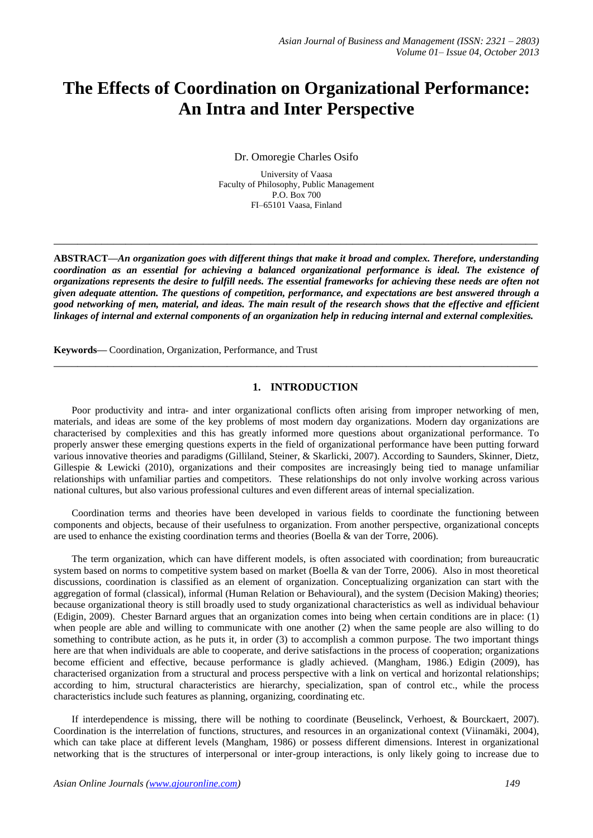# **The Effects of Coordination on Organizational Performance: An Intra and Inter Perspective**

Dr. Omoregie Charles Osifo

University of Vaasa Faculty of Philosophy, Public Management P.O. Box 700 FI–65101 Vaasa, Finland

**ABSTRACT—***An organization goes with different things that make it broad and complex. Therefore, understanding coordination as an essential for achieving a balanced organizational performance is ideal. The existence of organizations represents the desire to fulfill needs. The essential frameworks for achieving these needs are often not given adequate attention. The questions of competition, performance, and expectations are best answered through a good networking of men, material, and ideas. The main result of the research shows that the effective and efficient linkages of internal and external components of an organization help in reducing internal and external complexities.*

**\_\_\_\_\_\_\_\_\_\_\_\_\_\_\_\_\_\_\_\_\_\_\_\_\_\_\_\_\_\_\_\_\_\_\_\_\_\_\_\_\_\_\_\_\_\_\_\_\_\_\_\_\_\_\_\_\_\_\_\_\_\_\_\_\_\_\_\_\_\_\_\_\_\_\_\_\_\_\_\_\_**

**Keywords—** Coordination, Organization, Performance, and Trust

# **1. INTRODUCTION**

**\_\_\_\_\_\_\_\_\_\_\_\_\_\_\_\_\_\_\_\_\_\_\_\_\_\_\_\_\_\_\_\_\_\_\_\_\_\_\_\_\_\_\_\_\_\_\_\_\_\_\_\_\_\_\_\_\_\_\_\_\_\_\_\_\_\_\_\_\_\_\_\_\_\_\_\_\_\_\_\_\_**

Poor productivity and intra- and inter organizational conflicts often arising from improper networking of men, materials, and ideas are some of the key problems of most modern day organizations. Modern day organizations are characterised by complexities and this has greatly informed more questions about organizational performance. To properly answer these emerging questions experts in the field of organizational performance have been putting forward various innovative theories and paradigms (Gilliland, Steiner, & Skarlicki, 2007). According to Saunders, Skinner, Dietz, Gillespie & Lewicki (2010), organizations and their composites are increasingly being tied to manage unfamiliar relationships with unfamiliar parties and competitors. These relationships do not only involve working across various national cultures, but also various professional cultures and even different areas of internal specialization.

Coordination terms and theories have been developed in various fields to coordinate the functioning between components and objects, because of their usefulness to organization. From another perspective, organizational concepts are used to enhance the existing coordination terms and theories (Boella & van der Torre, 2006).

The term organization, which can have different models, is often associated with coordination; from bureaucratic system based on norms to competitive system based on market (Boella & van der Torre, 2006). Also in most theoretical discussions, coordination is classified as an element of organization. Conceptualizing organization can start with the aggregation of formal (classical), informal (Human Relation or Behavioural), and the system (Decision Making) theories; because organizational theory is still broadly used to study organizational characteristics as well as individual behaviour (Edigin, 2009). Chester Barnard argues that an organization comes into being when certain conditions are in place: (1) when people are able and willing to communicate with one another (2) when the same people are also willing to do something to contribute action, as he puts it, in order (3) to accomplish a common purpose. The two important things here are that when individuals are able to cooperate, and derive satisfactions in the process of cooperation; organizations become efficient and effective, because performance is gladly achieved. (Mangham, 1986.) Edigin (2009), has characterised organization from a structural and process perspective with a link on vertical and horizontal relationships; according to him, structural characteristics are hierarchy, specialization, span of control etc., while the process characteristics include such features as planning, organizing, coordinating etc.

If interdependence is missing, there will be nothing to coordinate (Beuselinck, Verhoest, & Bourckaert, 2007). Coordination is the interrelation of functions, structures, and resources in an organizational context (Viinamäki, 2004), which can take place at different levels (Mangham, 1986) or possess different dimensions. Interest in organizational networking that is the structures of interpersonal or inter-group interactions, is only likely going to increase due to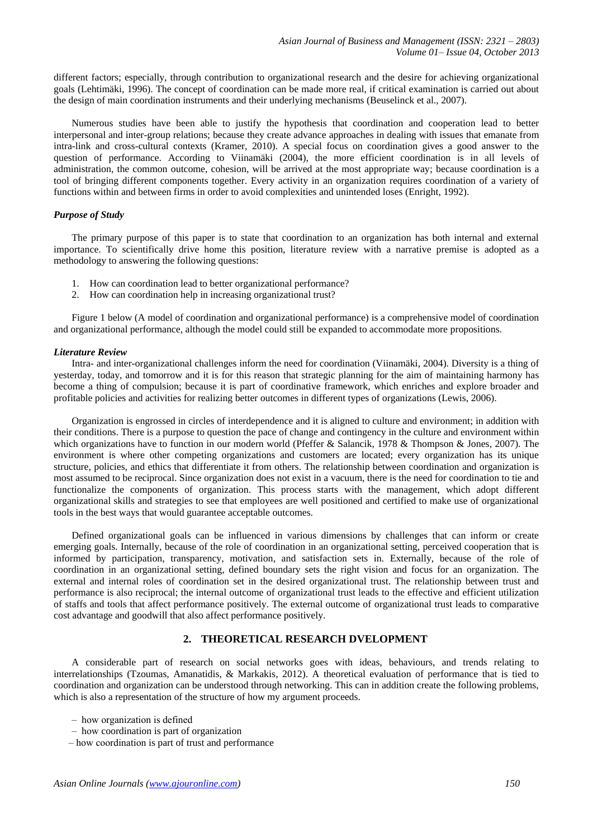different factors; especially, through contribution to organizational research and the desire for achieving organizational goals (Lehtimäki, 1996). The concept of coordination can be made more real, if critical examination is carried out about the design of main coordination instruments and their underlying mechanisms (Beuselinck et al., 2007).

Numerous studies have been able to justify the hypothesis that coordination and cooperation lead to better interpersonal and inter-group relations; because they create advance approaches in dealing with issues that emanate from intra-link and cross-cultural contexts (Kramer, 2010). A special focus on coordination gives a good answer to the question of performance. According to Viinamäki (2004), the more efficient coordination is in all levels of administration, the common outcome, cohesion, will be arrived at the most appropriate way; because coordination is a tool of bringing different components together. Every activity in an organization requires coordination of a variety of functions within and between firms in order to avoid complexities and unintended loses (Enright, 1992).

## *Purpose of Study*

The primary purpose of this paper is to state that coordination to an organization has both internal and external importance. To scientifically drive home this position, literature review with a narrative premise is adopted as a methodology to answering the following questions:

- 1. How can coordination lead to better organizational performance?
- 2. How can coordination help in increasing organizational trust?

Figure 1 below (A model of coordination and organizational performance) is a comprehensive model of coordination and organizational performance, although the model could still be expanded to accommodate more propositions.

#### *Literature Review*

Intra- and inter-organizational challenges inform the need for coordination (Viinamäki, 2004). Diversity is a thing of yesterday, today, and tomorrow and it is for this reason that strategic planning for the aim of maintaining harmony has become a thing of compulsion; because it is part of coordinative framework, which enriches and explore broader and profitable policies and activities for realizing better outcomes in different types of organizations (Lewis, 2006).

Organization is engrossed in circles of interdependence and it is aligned to culture and environment; in addition with their conditions. There is a purpose to question the pace of change and contingency in the culture and environment within which organizations have to function in our modern world (Pfeffer & Salancik, 1978 & Thompson & Jones, 2007). The environment is where other competing organizations and customers are located; every organization has its unique structure, policies, and ethics that differentiate it from others. The relationship between coordination and organization is most assumed to be reciprocal. Since organization does not exist in a vacuum, there is the need for coordination to tie and functionalize the components of organization. This process starts with the management, which adopt different organizational skills and strategies to see that employees are well positioned and certified to make use of organizational tools in the best ways that would guarantee acceptable outcomes.

Defined organizational goals can be influenced in various dimensions by challenges that can inform or create emerging goals. Internally, because of the role of coordination in an organizational setting, perceived cooperation that is informed by participation, transparency, motivation, and satisfaction sets in. Externally, because of the role of coordination in an organizational setting, defined boundary sets the right vision and focus for an organization. The external and internal roles of coordination set in the desired organizational trust. The relationship between trust and performance is also reciprocal; the internal outcome of organizational trust leads to the effective and efficient utilization of staffs and tools that affect performance positively. The external outcome of organizational trust leads to comparative cost advantage and goodwill that also affect performance positively.

# **2. THEORETICAL RESEARCH DVELOPMENT**

A considerable part of research on social networks goes with ideas, behaviours, and trends relating to interrelationships (Tzoumas, Amanatidis, & Markakis, 2012). A theoretical evaluation of performance that is tied to coordination and organization can be understood through networking. This can in addition create the following problems, which is also a representation of the structure of how my argument proceeds.

- ‒ how organization is defined
- ‒ how coordination is part of organization
- ‒ how coordination is part of trust and performance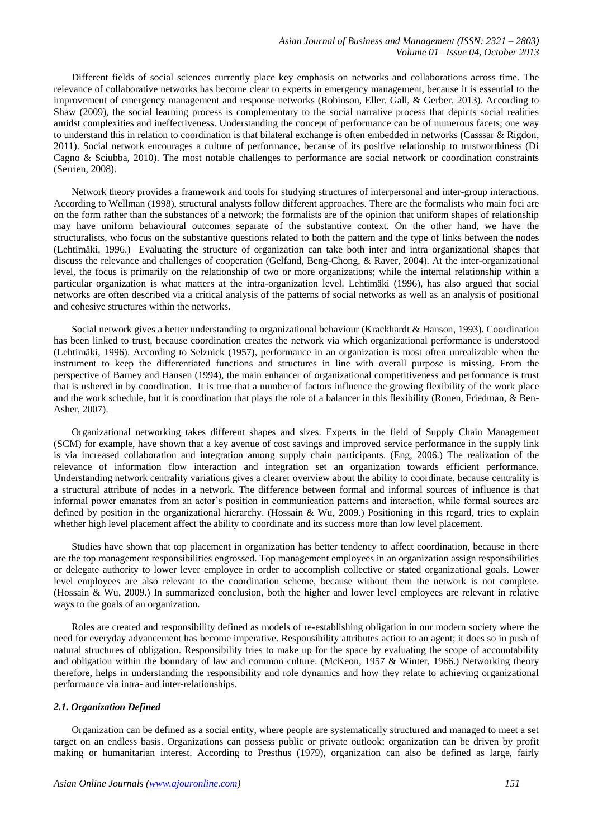Different fields of social sciences currently place key emphasis on networks and collaborations across time. The relevance of collaborative networks has become clear to experts in emergency management, because it is essential to the improvement of emergency management and response networks (Robinson, Eller, Gall, & Gerber, 2013). According to Shaw (2009), the social learning process is complementary to the social narrative process that depicts social realities amidst complexities and ineffectiveness. Understanding the concept of performance can be of numerous facets; one way to understand this in relation to coordination is that bilateral exchange is often embedded in networks (Casssar & Rigdon, 2011). Social network encourages a culture of performance, because of its positive relationship to trustworthiness (Di Cagno & Sciubba, 2010). The most notable challenges to performance are social network or coordination constraints (Serrien, 2008).

Network theory provides a framework and tools for studying structures of interpersonal and inter-group interactions. According to Wellman (1998), structural analysts follow different approaches. There are the formalists who main foci are on the form rather than the substances of a network; the formalists are of the opinion that uniform shapes of relationship may have uniform behavioural outcomes separate of the substantive context. On the other hand, we have the structuralists, who focus on the substantive questions related to both the pattern and the type of links between the nodes (Lehtimäki, 1996.) Evaluating the structure of organization can take both inter and intra organizational shapes that discuss the relevance and challenges of cooperation (Gelfand, Beng-Chong, & Raver, 2004). At the inter-organizational level, the focus is primarily on the relationship of two or more organizations; while the internal relationship within a particular organization is what matters at the intra-organization level. Lehtimäki (1996), has also argued that social networks are often described via a critical analysis of the patterns of social networks as well as an analysis of positional and cohesive structures within the networks.

Social network gives a better understanding to organizational behaviour (Krackhardt & Hanson, 1993). Coordination has been linked to trust, because coordination creates the network via which organizational performance is understood (Lehtimäki, 1996). According to Selznick (1957), performance in an organization is most often unrealizable when the instrument to keep the differentiated functions and structures in line with overall purpose is missing. From the perspective of Barney and Hansen (1994), the main enhancer of organizational competitiveness and performance is trust that is ushered in by coordination. It is true that a number of factors influence the growing flexibility of the work place and the work schedule, but it is coordination that plays the role of a balancer in this flexibility (Ronen, Friedman, & Ben-Asher, 2007).

Organizational networking takes different shapes and sizes. Experts in the field of Supply Chain Management (SCM) for example, have shown that a key avenue of cost savings and improved service performance in the supply link is via increased collaboration and integration among supply chain participants. (Eng, 2006.) The realization of the relevance of information flow interaction and integration set an organization towards efficient performance. Understanding network centrality variations gives a clearer overview about the ability to coordinate, because centrality is a structural attribute of nodes in a network. The difference between formal and informal sources of influence is that informal power emanates from an actor's position in communication patterns and interaction, while formal sources are defined by position in the organizational hierarchy. (Hossain & Wu, 2009.) Positioning in this regard, tries to explain whether high level placement affect the ability to coordinate and its success more than low level placement.

Studies have shown that top placement in organization has better tendency to affect coordination, because in there are the top management responsibilities engrossed. Top management employees in an organization assign responsibilities or delegate authority to lower lever employee in order to accomplish collective or stated organizational goals. Lower level employees are also relevant to the coordination scheme, because without them the network is not complete. (Hossain & Wu, 2009.) In summarized conclusion, both the higher and lower level employees are relevant in relative ways to the goals of an organization.

Roles are created and responsibility defined as models of re-establishing obligation in our modern society where the need for everyday advancement has become imperative. Responsibility attributes action to an agent; it does so in push of natural structures of obligation. Responsibility tries to make up for the space by evaluating the scope of accountability and obligation within the boundary of law and common culture. (McKeon, 1957 & Winter, 1966.) Networking theory therefore, helps in understanding the responsibility and role dynamics and how they relate to achieving organizational performance via intra- and inter-relationships.

## *2.1. Organization Defined*

Organization can be defined as a social entity, where people are systematically structured and managed to meet a set target on an endless basis. Organizations can possess public or private outlook; organization can be driven by profit making or humanitarian interest. According to Presthus (1979), organization can also be defined as large, fairly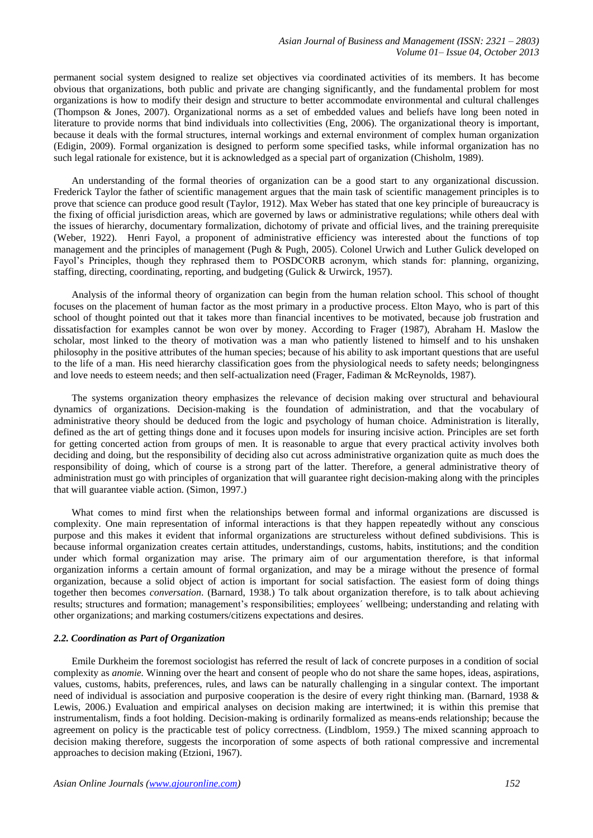permanent social system designed to realize set objectives via coordinated activities of its members. It has become obvious that organizations, both public and private are changing significantly, and the fundamental problem for most organizations is how to modify their design and structure to better accommodate environmental and cultural challenges (Thompson & Jones, 2007). Organizational norms as a set of embedded values and beliefs have long been noted in literature to provide norms that bind individuals into collectivities (Eng, 2006). The organizational theory is important, because it deals with the formal structures, internal workings and external environment of complex human organization (Edigin, 2009). Formal organization is designed to perform some specified tasks, while informal organization has no such legal rationale for existence, but it is acknowledged as a special part of organization (Chisholm, 1989).

An understanding of the formal theories of organization can be a good start to any organizational discussion. Frederick Taylor the father of scientific management argues that the main task of scientific management principles is to prove that science can produce good result (Taylor, 1912). Max Weber has stated that one key principle of bureaucracy is the fixing of official jurisdiction areas, which are governed by laws or administrative regulations; while others deal with the issues of hierarchy, documentary formalization, dichotomy of private and official lives, and the training prerequisite (Weber, 1922). Henri Fayol, a proponent of administrative efficiency was interested about the functions of top management and the principles of management (Pugh & Pugh, 2005). Colonel Urwich and Luther Gulick developed on Fayol's Principles, though they rephrased them to POSDCORB acronym, which stands for: planning, organizing, staffing, directing, coordinating, reporting, and budgeting (Gulick & Urwirck, 1957).

Analysis of the informal theory of organization can begin from the human relation school. This school of thought focuses on the placement of human factor as the most primary in a productive process. Elton Mayo, who is part of this school of thought pointed out that it takes more than financial incentives to be motivated, because job frustration and dissatisfaction for examples cannot be won over by money. According to Frager (1987), Abraham H. Maslow the scholar, most linked to the theory of motivation was a man who patiently listened to himself and to his unshaken philosophy in the positive attributes of the human species; because of his ability to ask important questions that are useful to the life of a man. His need hierarchy classification goes from the physiological needs to safety needs; belongingness and love needs to esteem needs; and then self-actualization need (Frager, Fadiman & McReynolds, 1987).

The systems organization theory emphasizes the relevance of decision making over structural and behavioural dynamics of organizations. Decision-making is the foundation of administration, and that the vocabulary of administrative theory should be deduced from the logic and psychology of human choice. Administration is literally, defined as the art of getting things done and it focuses upon models for insuring incisive action. Principles are set forth for getting concerted action from groups of men. It is reasonable to argue that every practical activity involves both deciding and doing*,* but the responsibility of deciding also cut across administrative organization quite as much does the responsibility of doing, which of course is a strong part of the latter. Therefore, a general administrative theory of administration must go with principles of organization that will guarantee right decision-making along with the principles that will guarantee viable action. (Simon, 1997.)

What comes to mind first when the relationships between formal and informal organizations are discussed is complexity. One main representation of informal interactions is that they happen repeatedly without any conscious purpose and this makes it evident that informal organizations are structureless without defined subdivisions. This is because informal organization creates certain attitudes, understandings, customs, habits, institutions; and the condition under which formal organization may arise. The primary aim of our argumentation therefore, is that informal organization informs a certain amount of formal organization, and may be a mirage without the presence of formal organization, because a solid object of action is important for social satisfaction. The easiest form of doing things together then becomes *conversation*. (Barnard, 1938.) To talk about organization therefore, is to talk about achieving results; structures and formation; management's responsibilities; employees´ wellbeing; understanding and relating with other organizations; and marking costumers/citizens expectations and desires.

#### *2.2. Coordination as Part of Organization*

Emile Durkheim the foremost sociologist has referred the result of lack of concrete purposes in a condition of social complexity as *anomie.* Winning over the heart and consent of people who do not share the same hopes, ideas, aspirations, values, customs, habits, preferences, rules, and laws can be naturally challenging in a singular context. The important need of individual is association and purposive cooperation is the desire of every right thinking man. (Barnard, 1938 & Lewis, 2006.) Evaluation and empirical analyses on decision making are intertwined; it is within this premise that instrumentalism, finds a foot holding. Decision-making is ordinarily formalized as means-ends relationship; because the agreement on policy is the practicable test of policy correctness. (Lindblom, 1959.) The mixed scanning approach to decision making therefore, suggests the incorporation of some aspects of both rational compressive and incremental approaches to decision making (Etzioni, 1967).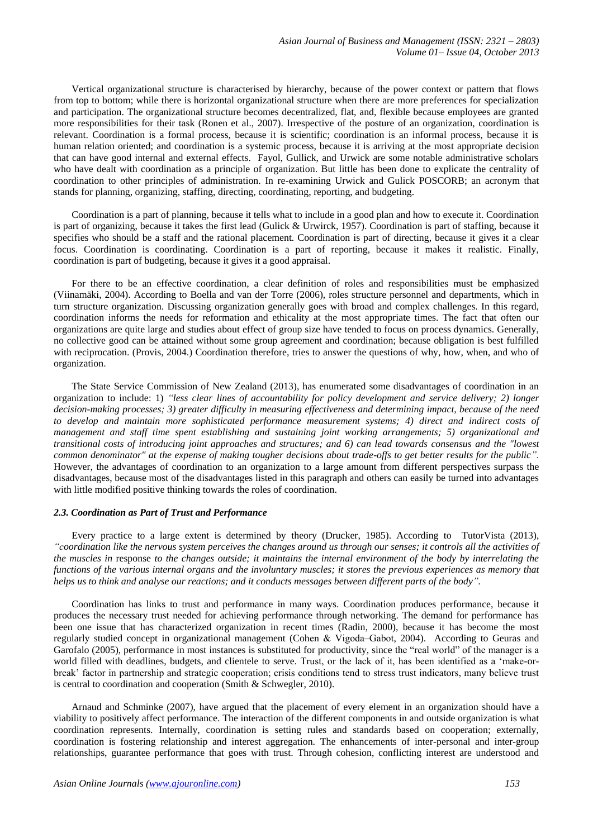Vertical organizational structure is characterised by hierarchy, because of the power context or pattern that flows from top to bottom; while there is horizontal organizational structure when there are more preferences for specialization and participation. The organizational structure becomes decentralized, flat, and, flexible because employees are granted more responsibilities for their task (Ronen et al., 2007). Irrespective of the posture of an organization, coordination is relevant. Coordination is a formal process, because it is scientific; coordination is an informal process, because it is human relation oriented; and coordination is a systemic process, because it is arriving at the most appropriate decision that can have good internal and external effects. Fayol, Gullick, and Urwick are some notable administrative scholars who have dealt with coordination as a principle of organization. But little has been done to explicate the centrality of coordination to other principles of administration. In re-examining Urwick and Gulick POSCORB; an acronym that stands for planning, organizing, staffing, directing, coordinating, reporting, and budgeting.

Coordination is a part of planning, because it tells what to include in a good plan and how to execute it. Coordination is part of organizing, because it takes the first lead (Gulick & Urwirck, 1957). Coordination is part of staffing, because it specifies who should be a staff and the rational placement. Coordination is part of directing, because it gives it a clear focus. Coordination is coordinating. Coordination is a part of reporting, because it makes it realistic. Finally, coordination is part of budgeting, because it gives it a good appraisal.

For there to be an effective coordination, a clear definition of roles and responsibilities must be emphasized (Viinamäki, 2004). According to Boella and van der Torre (2006), roles structure personnel and departments, which in turn structure organization. Discussing organization generally goes with broad and complex challenges. In this regard, coordination informs the needs for reformation and ethicality at the most appropriate times. The fact that often our organizations are quite large and studies about effect of group size have tended to focus on process dynamics. Generally, no collective good can be attained without some group agreement and coordination; because obligation is best fulfilled with reciprocation. (Provis, 2004.) Coordination therefore, tries to answer the questions of why, how, when, and who of organization.

The State Service Commission of New Zealand (2013), has enumerated some disadvantages of coordination in an organization to include: 1) *"less clear lines of accountability for policy development and service delivery; 2) longer decision-making processes; 3) greater difficulty in measuring effectiveness and determining impact, because of the need to develop and maintain more sophisticated performance measurement systems; 4) direct and indirect costs of management and staff time spent establishing and sustaining joint working arrangements; 5) organizational and transitional costs of introducing joint approaches and structures; and 6) can lead towards consensus and the "lowest common denominator" at the expense of making tougher decisions about trade-offs to get better results for the public".* However, the advantages of coordination to an organization to a large amount from different perspectives surpass the disadvantages, because most of the disadvantages listed in this paragraph and others can easily be turned into advantages with little modified positive thinking towards the roles of coordination.

#### *2.3. Coordination as Part of Trust and Performance*

Every practice to a large extent is determined by theory (Drucker, 1985). According to TutorVista (2013), *"coordination like the nervous system perceives the changes around us through our senses; it controls all the activities of the muscles in* response *to the changes outside; it maintains the internal environment of the body by interrelating the functions of the various internal organs and the involuntary muscles; it stores the previous experiences as memory that helps us to think and analyse our reactions; and it conducts messages between different parts of the body".*

Coordination has links to trust and performance in many ways. Coordination produces performance, because it produces the necessary trust needed for achieving performance through networking. The demand for performance has been one issue that has characterized organization in recent times (Radin, 2000), because it has become the most regularly studied concept in organizational management (Cohen & Vigoda–Gabot, 2004). According to Geuras and Garofalo (2005), performance in most instances is substituted for productivity, since the "real world" of the manager is a world filled with deadlines, budgets, and clientele to serve. Trust, or the lack of it, has been identified as a 'make-orbreak' factor in partnership and strategic cooperation; crisis conditions tend to stress trust indicators, many believe trust is central to coordination and cooperation (Smith & Schwegler, 2010).

Arnaud and Schminke (2007), have argued that the placement of every element in an organization should have a viability to positively affect performance. The interaction of the different components in and outside organization is what coordination represents. Internally, coordination is setting rules and standards based on cooperation; externally, coordination is fostering relationship and interest aggregation. The enhancements of inter-personal and inter-group relationships, guarantee performance that goes with trust. Through cohesion, conflicting interest are understood and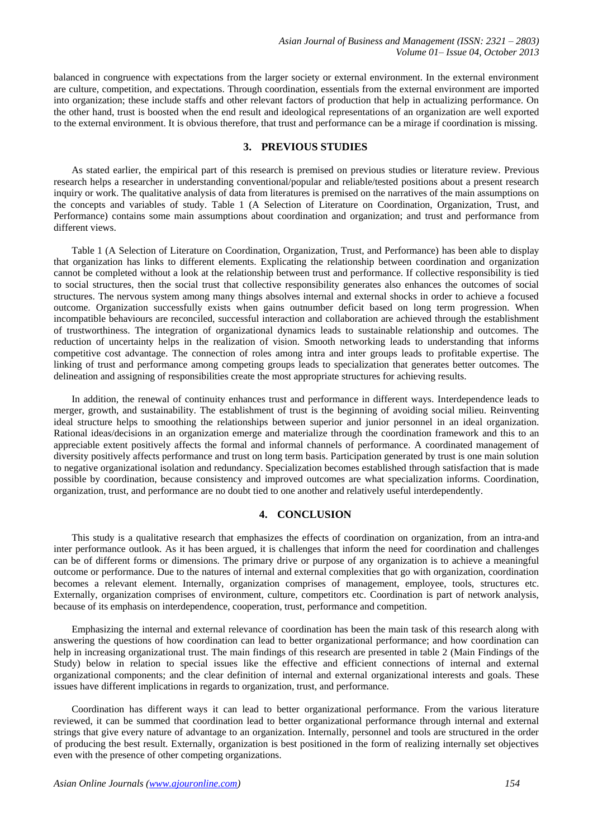balanced in congruence with expectations from the larger society or external environment. In the external environment are culture, competition, and expectations. Through coordination, essentials from the external environment are imported into organization; these include staffs and other relevant factors of production that help in actualizing performance. On the other hand, trust is boosted when the end result and ideological representations of an organization are well exported to the external environment. It is obvious therefore, that trust and performance can be a mirage if coordination is missing.

## **3. PREVIOUS STUDIES**

As stated earlier, the empirical part of this research is premised on previous studies or literature review. Previous research helps a researcher in understanding conventional/popular and reliable/tested positions about a present research inquiry or work. The qualitative analysis of data from literatures is premised on the narratives of the main assumptions on the concepts and variables of study. Table 1 (A Selection of Literature on Coordination, Organization, Trust, and Performance) contains some main assumptions about coordination and organization; and trust and performance from different views.

Table 1 (A Selection of Literature on Coordination, Organization, Trust, and Performance) has been able to display that organization has links to different elements. Explicating the relationship between coordination and organization cannot be completed without a look at the relationship between trust and performance. If collective responsibility is tied to social structures, then the social trust that collective responsibility generates also enhances the outcomes of social structures. The nervous system among many things absolves internal and external shocks in order to achieve a focused outcome. Organization successfully exists when gains outnumber deficit based on long term progression. When incompatible behaviours are reconciled, successful interaction and collaboration are achieved through the establishment of trustworthiness. The integration of organizational dynamics leads to sustainable relationship and outcomes. The reduction of uncertainty helps in the realization of vision. Smooth networking leads to understanding that informs competitive cost advantage. The connection of roles among intra and inter groups leads to profitable expertise. The linking of trust and performance among competing groups leads to specialization that generates better outcomes. The delineation and assigning of responsibilities create the most appropriate structures for achieving results.

In addition, the renewal of continuity enhances trust and performance in different ways. Interdependence leads to merger, growth, and sustainability. The establishment of trust is the beginning of avoiding social milieu. Reinventing ideal structure helps to smoothing the relationships between superior and junior personnel in an ideal organization. Rational ideas/decisions in an organization emerge and materialize through the coordination framework and this to an appreciable extent positively affects the formal and informal channels of performance. A coordinated management of diversity positively affects performance and trust on long term basis. Participation generated by trust is one main solution to negative organizational isolation and redundancy. Specialization becomes established through satisfaction that is made possible by coordination, because consistency and improved outcomes are what specialization informs. Coordination, organization, trust, and performance are no doubt tied to one another and relatively useful interdependently.

## **4. CONCLUSION**

This study is a qualitative research that emphasizes the effects of coordination on organization, from an intra-and inter performance outlook. As it has been argued, it is challenges that inform the need for coordination and challenges can be of different forms or dimensions. The primary drive or purpose of any organization is to achieve a meaningful outcome or performance. Due to the natures of internal and external complexities that go with organization, coordination becomes a relevant element. Internally, organization comprises of management, employee, tools, structures etc. Externally, organization comprises of environment, culture, competitors etc. Coordination is part of network analysis, because of its emphasis on interdependence, cooperation, trust, performance and competition.

Emphasizing the internal and external relevance of coordination has been the main task of this research along with answering the questions of how coordination can lead to better organizational performance; and how coordination can help in increasing organizational trust. The main findings of this research are presented in table 2 (Main Findings of the Study) below in relation to special issues like the effective and efficient connections of internal and external organizational components; and the clear definition of internal and external organizational interests and goals. These issues have different implications in regards to organization, trust, and performance.

Coordination has different ways it can lead to better organizational performance. From the various literature reviewed, it can be summed that coordination lead to better organizational performance through internal and external strings that give every nature of advantage to an organization. Internally, personnel and tools are structured in the order of producing the best result. Externally, organization is best positioned in the form of realizing internally set objectives even with the presence of other competing organizations.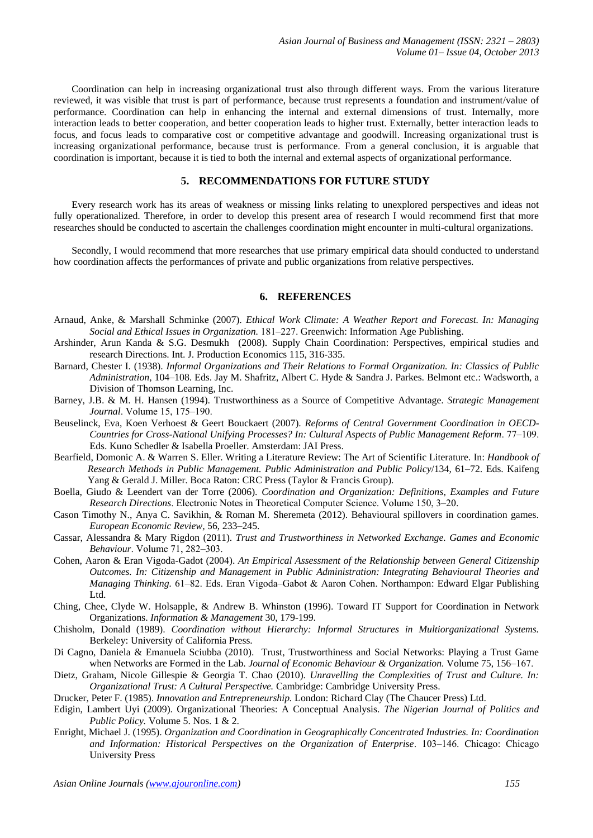Coordination can help in increasing organizational trust also through different ways. From the various literature reviewed, it was visible that trust is part of performance, because trust represents a foundation and instrument/value of performance. Coordination can help in enhancing the internal and external dimensions of trust. Internally, more interaction leads to better cooperation, and better cooperation leads to higher trust. Externally, better interaction leads to focus, and focus leads to comparative cost or competitive advantage and goodwill. Increasing organizational trust is increasing organizational performance, because trust is performance. From a general conclusion, it is arguable that coordination is important, because it is tied to both the internal and external aspects of organizational performance.

# **5. RECOMMENDATIONS FOR FUTURE STUDY**

Every research work has its areas of weakness or missing links relating to unexplored perspectives and ideas not fully operationalized. Therefore, in order to develop this present area of research I would recommend first that more researches should be conducted to ascertain the challenges coordination might encounter in multi-cultural organizations.

Secondly, I would recommend that more researches that use primary empirical data should conducted to understand how coordination affects the performances of private and public organizations from relative perspectives.

## **6. REFERENCES**

- Arnaud, Anke, & Marshall Schminke (2007). *Ethical Work Climate: A Weather Report and Forecast. In: Managing Social and Ethical Issues in Organization.* 181–227. Greenwich: Information Age Publishing.
- Arshinder, Arun Kanda & S.G. Desmukh (2008). Supply Chain Coordination: Perspectives, empirical studies and research Directions. Int. J. Production Economics 115, 316-335.
- Barnard, Chester I. (1938). *Informal Organizations and Their Relations to Formal Organization. In: Classics of Public Administration,* 104–108. Eds. Jay M. Shafritz, Albert C. Hyde & Sandra J. Parkes. Belmont etc.: Wadsworth, a Division of Thomson Learning, Inc.
- Barney, J.B. & M. H. Hansen (1994). Trustworthiness as a Source of Competitive Advantage. *Strategic Management Journal*. Volume 15, 175-190.
- Beuselinck, Eva, Koen Verhoest & Geert Bouckaert (2007). *Reforms of Central Government Coordination in OECD-Countries for Cross-National Unifying Processes? In: Cultural Aspects of Public Management Reform*. 77‒109. Eds. Kuno Schedler & Isabella Proeller. Amsterdam: JAI Press.
- Bearfield, Domonic A. & Warren S. Eller. Writing a Literature Review: The Art of Scientific Literature. In: *Handbook of Research Methods in Public Management. Public Administration and Public Policy*/134, 61–72. Eds. Kaifeng Yang & Gerald J. Miller. Boca Raton: CRC Press (Taylor & Francis Group).
- Boella, Giudo & Leendert van der Torre (2006). *Coordination and Organization: Definitions, Examples and Future Research Directions*. Electronic Notes in Theoretical Computer Science. Volume 150, 3–20.
- Cason Timothy N., Anya C. Savikhin, & Roman M. Sheremeta (2012). Behavioural spillovers in coordination games*. European Economic Review,* 56, 233‒245.
- Cassar, Alessandra & Mary Rigdon (2011). *Trust and Trustworthiness in Networked Exchange. Games and Economic Behaviour*. Volume 71, 282‒303.
- Cohen, Aaron & Eran Vigoda-Gadot (2004). *An Empirical Assessment of the Relationship between General Citizenship Outcomes. In: Citizenship and Management in Public Administration: Integrating Behavioural Theories and Managing Thinking.* 61–82. Eds. Eran Vigoda–Gabot & Aaron Cohen. Northampon: Edward Elgar Publishing Ltd.
- Ching, Chee, Clyde W. Holsapple, & Andrew B. Whinston (1996). Toward IT Support for Coordination in Network Organizations. *Information & Management* 30, 179-199.
- Chisholm, Donald (1989). *Coordination without Hierarchy: Informal Structures in Multiorganizational Systems.*  Berkeley: University of California Press.
- Di Cagno, Daniela & Emanuela Sciubba (2010). Trust, Trustworthiness and Social Networks: Playing a Trust Game when Networks are Formed in the Lab. *Journal of Economic Behaviour & Organization*. Volume 75, 156–167.
- Dietz, Graham, Nicole Gillespie & Georgia T. Chao (2010). *Unravelling the Complexities of Trust and Culture. In: Organizational Trust: A Cultural Perspective.* Cambridge: Cambridge University Press.
- Drucker, Peter F. (1985). *Innovation and Entrepreneurship.* London: Richard Clay (The Chaucer Press) Ltd.
- Edigin, Lambert Uyi (2009). Organizational Theories: A Conceptual Analysis. *The Nigerian Journal of Politics and Public Policy.* Volume 5. Nos. 1 & 2.
- Enright, Michael J. (1995). *Organization and Coordination in Geographically Concentrated Industries. In: Coordination*  and Information: Historical Perspectives on the Organization of Enterprise. 103–146. Chicago: Chicago University Press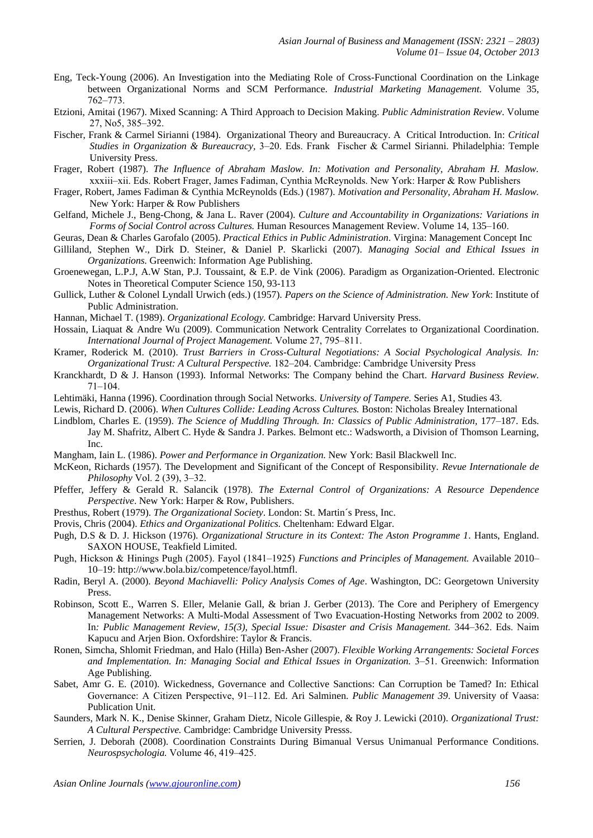- Eng, Teck-Young (2006). An Investigation into the Mediating Role of Cross-Functional Coordination on the Linkage between Organizational Norms and SCM Performance. *Industrial Marketing Management.* Volume 35, 762‒773.
- Etzioni, Amitai (1967). Mixed Scanning: A Third Approach to Decision Making. *Public Administration Review*. Volume 27, No5, 385‒392.
- Fischer, Frank & Carmel Sirianni (1984). Organizational Theory and Bureaucracy. A Critical Introduction. In: *Critical Studies in Organization & Bureaucracy,* 3‒20. Eds. Frank Fischer & Carmel Sirianni. Philadelphia: Temple University Press.
- Frager, Robert (1987). *The Influence of Abraham Maslow. In: Motivation and Personality, Abraham H. Maslow.* xxxiii‒xii. Eds. Robert Frager, James Fadiman, Cynthia McReynolds. New York: Harper & Row Publishers
- Frager, Robert, James Fadiman & Cynthia McReynolds (Eds.) (1987). *Motivation and Personality, Abraham H. Maslow.* New York: Harper & Row Publishers
- Gelfand, Michele J., Beng-Chong, & Jana L. Raver (2004). *Culture and Accountability in Organizations: Variations in Forms of Social Control across Cultures.* Human Resources Management Review. Volume 14, 135–160.
- Geuras, Dean & Charles Garofalo (2005). *Practical Ethics in Public Administration*. Virgina: Management Concept Inc
- Gilliland, Stephen W., Dirk D. Steiner, & Daniel P. Skarlicki (2007). *Managing Social and Ethical Issues in Organizations.* Greenwich: Information Age Publishing.
- Groenewegan, L.P.J, A.W Stan, P.J. Toussaint, & E.P. de Vink (2006). Paradigm as Organization-Oriented. Electronic Notes in Theoretical Computer Science 150, 93-113
- Gullick, Luther & Colonel Lyndall Urwich (eds.) (1957). *Papers on the Science of Administration. New York*: Institute of Public Administration.
- Hannan, Michael T. (1989). *Organizational Ecology.* Cambridge: Harvard University Press.
- Hossain, Liaquat & Andre Wu (2009). Communication Network Centrality Correlates to Organizational Coordination. *International Journal of Project Management.* Volume 27, 795–811.
- Kramer, Roderick M. (2010). *Trust Barriers in Cross-Cultural Negotiations: A Social Psychological Analysis. In: Organizational Trust: A Cultural Perspective.* 182‒204. Cambridge: Cambridge University Press
- Kranckhardt, D & J. Hanson (1993). Informal Networks: The Company behind the Chart. *Harvard Business Review.*  $71 - 104$ .
- Lehtimäki, Hanna (1996). Coordination through Social Networks. *University of Tampere.* Series A1, Studies 43.
- Lewis, Richard D. (2006). *When Cultures Collide: Leading Across Cultures.* Boston: Nicholas Brealey International
- Lindblom, Charles E. (1959). *The Science of Muddling Through. In: Classics of Public Administration,* 177–187. Eds. Jay M. Shafritz, Albert C. Hyde & Sandra J. Parkes. Belmont etc.: Wadsworth, a Division of Thomson Learning, Inc.
- Mangham, Iain L. (1986). *Power and Performance in Organization.* New York: Basil Blackwell Inc.
- McKeon, Richards (1957). The Development and Significant of the Concept of Responsibility. *Revue Internationale de Philosophy* Vol. 2 (39), 3‒32.
- Pfeffer, Jeffery & Gerald R. Salancik (1978). *The External Control of Organizations: A Resource Dependence Perspective*. New York: Harper & Row, Publishers.
- Presthus, Robert (1979). *The Organizational Society*. London: St. Martin´s Press, Inc.
- Provis, Chris (2004). *Ethics and Organizational Politics.* Cheltenham: Edward Elgar.
- Pugh, D.S & D. J. Hickson (1976). *Organizational Structure in its Context: The Aston Programme 1*. Hants, England. SAXON HOUSE, Teakfield Limited.
- Pugh, Hickson & Hinings Pugh (2005). Fayol (1841–1925) *Functions and Principles of Management*. Available 2010– 10–19: [http://www.bola.biz/competence/fayol.htmfl.](http://www.bola.biz/competence/fayol.html)
- Radin, Beryl A. (2000). *Beyond Machiavelli: Policy Analysis Comes of Age*. Washington, DC: Georgetown University Press.
- Robinson, Scott E., Warren S. Eller, Melanie Gall, & brian J. Gerber (2013). The Core and Periphery of Emergency Management Networks: A Multi-Modal Assessment of Two Evacuation-Hosting Networks from 2002 to 2009. In: Public Management Review, 15(3), Special Issue: Disaster and Crisis Management. 344–362. Eds. Naim Kapucu and Arjen Bion. Oxfordshire: Taylor & Francis.
- Ronen, Simcha, Shlomit Friedman, and Halo (Hilla) Ben-Asher (2007). *Flexible Working Arrangements: Societal Forces and Implementation. In: Managing Social and Ethical Issues in Organization.* 3‒51. Greenwich: Information Age Publishing.
- Sabet, Amr G. E. (2010). Wickedness, Governance and Collective Sanctions: Can Corruption be Tamed? In: Ethical Governance: A Citizen Perspective, 91–112. Ed. Ari Salminen. *Public Management 39*. University of Vaasa: Publication Unit.
- Saunders, Mark N. K., Denise Skinner, Graham Dietz, Nicole Gillespie, & Roy J. Lewicki (2010). *Organizational Trust: A Cultural Perspective.* Cambridge: Cambridge University Presss.
- Serrien, J. Deborah (2008). Coordination Constraints During Bimanual Versus Unimanual Performance Conditions. *Neurospsychologia.* Volume 46, 419‒425.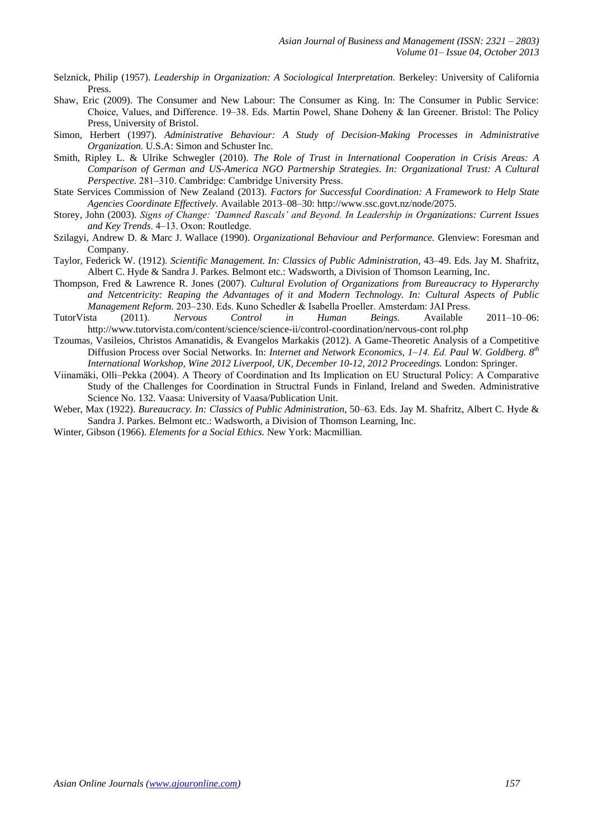- Selznick, Philip (1957). *Leadership in Organization: A Sociological Interpretation.* Berkeley: University of California Press.
- Shaw, Eric (2009). The Consumer and New Labour: The Consumer as King. In: The Consumer in Public Service: Choice, Values, and Difference. 19–38. Eds. Martin Powel, Shane Doheny & Ian Greener. Bristol: The Policy Press, University of Bristol.
- Simon, Herbert (1997). *Administrative Behaviour: A Study of Decision-Making Processes in Administrative Organization.* U.S.A: Simon and Schuster Inc.
- Smith, Ripley L. & Ulrike Schwegler (2010). *The Role of Trust in International Cooperation in Crisis Areas: A Comparison of German and US-America NGO Partnership Strategies. In: Organizational Trust: A Cultural Perspective.* 281–310. Cambridge: Cambridge University Press.
- State Services Commission of New Zealand (2013). *Factors for Successful Coordination: A Framework to Help State Agencies Coordinate Effectively.* Available 2013–08–30: [http://www.ssc.govt.nz/node/2075.](http://www.ssc.govt.nz/node/2075)
- Storey, John (2003). *Signs of Change: 'Damned Rascals' and Beyond. In Leadership in Organizations: Current Issues and Key Trends*. 4‒13. Oxon: Routledge.
- Szilagyi, Andrew D. & Marc J. Wallace (1990). *Organizational Behaviour and Performance.* Glenview: Foresman and Company.
- Taylor, Federick W. (1912). *Scientific Management. In: Classics of Public Administration,* 43–49. Eds. Jay M. Shafritz, Albert C. Hyde & Sandra J. Parkes. Belmont etc.: Wadsworth, a Division of Thomson Learning, Inc.
- Thompson, Fred & Lawrence R. Jones (2007). *Cultural Evolution of Organizations from Bureaucracy to Hyperarchy and Netcentricity: Reaping the Advantages of it and Modern Technology. In: Cultural Aspects of Public Management Reform.* 203‒230. Eds. Kuno Schedler & Isabella Proeller. Amsterdam: JAI Press.
- TutorVista (2011). *Nervous Control in Human Beings.* Available 2011–10–06: [http://www.tutorvista.com/content/science/science-ii/control-coordination/nervous-cont](http://www.tutorvista.com/content/science/science-ii/control-coordination/nervous-control.php) rol.php
- Tzoumas, Vasileios, Christos Amanatidis, & Evangelos Markakis (2012). A Game-Theoretic Analysis of a Competitive Diffusion Process over Social Networks. In: *Internet and Network Economics, 1‒14. Ed. Paul W. Goldberg. 8th International Workshop, Wine 2012 Liverpool, UK, December 10-12, 2012 Proceedings.* London: Springer.
- Viinamäki, Olli‒Pekka (2004). A Theory of Coordination and Its Implication on EU Structural Policy: A Comparative Study of the Challenges for Coordination in Structral Funds in Finland, Ireland and Sweden. Administrative Science No. 132. Vaasa: University of Vaasa/Publication Unit.
- Weber, Max (1922). *Bureaucracy. In: Classics of Public Administration*, 50–63. Eds. Jay M. Shafritz, Albert C. Hyde & Sandra J. Parkes. Belmont etc.: Wadsworth, a Division of Thomson Learning, Inc.
- Winter, Gibson (1966). *Elements for a Social Ethics.* New York: Macmillian.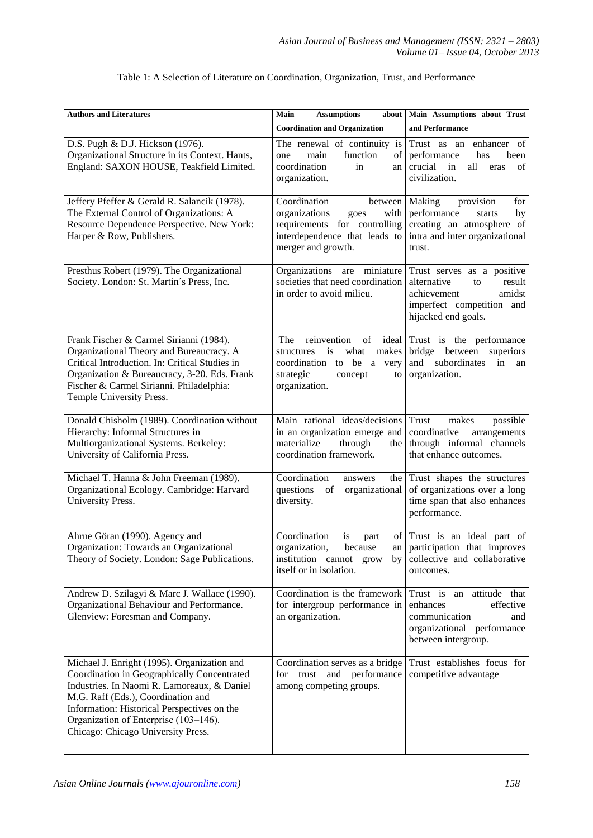| <b>Authors and Literatures</b>                                                                                                                                                                                                                                                                                | <b>Assumptions</b><br>Main<br>about  <br><b>Coordination and Organization</b>                                                                      | Main Assumptions about Trust<br>and Performance                                                                                        |
|---------------------------------------------------------------------------------------------------------------------------------------------------------------------------------------------------------------------------------------------------------------------------------------------------------------|----------------------------------------------------------------------------------------------------------------------------------------------------|----------------------------------------------------------------------------------------------------------------------------------------|
| D.S. Pugh & D.J. Hickson (1976).<br>Organizational Structure in its Context. Hants,<br>England: SAXON HOUSE, Teakfield Limited.                                                                                                                                                                               | The renewal of continuity is<br>function<br>of<br>main<br>one<br>coordination<br>in<br>an<br>organization.                                         | Trust as an enhancer<br>of<br>performance<br>has<br>been<br>crucial<br>all<br>in<br>of<br>eras<br>civilization.                        |
| Jeffery Pfeffer & Gerald R. Salancik (1978).<br>The External Control of Organizations: A<br>Resource Dependence Perspective. New York:<br>Harper & Row, Publishers.                                                                                                                                           | Coordination<br>between<br>organizations<br>with<br>goes<br>requirements for controlling<br>interdependence that leads to<br>merger and growth.    | Making<br>provision<br>for<br>performance<br>by<br>starts<br>creating an atmosphere of<br>intra and inter organizational<br>trust.     |
| Presthus Robert (1979). The Organizational<br>Society. London: St. Martin's Press, Inc.                                                                                                                                                                                                                       | Organizations<br>miniature<br>are<br>societies that need coordination<br>in order to avoid milieu.                                                 | Trust serves as a positive<br>alternative<br>to<br>result<br>achievement<br>amidst<br>imperfect competition and<br>hijacked end goals. |
| Frank Fischer & Carmel Sirianni (1984).<br>Organizational Theory and Bureaucracy. A<br>Critical Introduction. In: Critical Studies in<br>Organization & Bureaucracy, 3-20. Eds. Frank<br>Fischer & Carmel Sirianni. Philadelphia:<br>Temple University Press.                                                 | The<br>reinvention<br>of<br>ideal<br>is<br>structures<br>what<br>makes<br>coordination to be a very<br>strategic<br>concept<br>to<br>organization. | Trust is the performance<br>bridge between<br>superiors<br>and subordinates<br>in<br>an<br>organization.                               |
| Donald Chisholm (1989). Coordination without<br>Hierarchy: Informal Structures in<br>Multiorganizational Systems. Berkeley:<br>University of California Press.                                                                                                                                                | Main rational ideas/decisions<br>in an organization emerge and<br>materialize<br>through<br>the<br>coordination framework.                         | Trust<br>possible<br>makes<br>coordinative<br>arrangements<br>through informal channels<br>that enhance outcomes.                      |
| Michael T. Hanna & John Freeman (1989).<br>Organizational Ecology. Cambridge: Harvard<br>University Press.                                                                                                                                                                                                    | Coordination<br>the  <br>answers<br>questions<br>of<br>organizational<br>diversity.                                                                | Trust shapes the structures<br>of organizations over a long<br>time span that also enhances<br>performance.                            |
| Ahrne Göran (1990). Agency and<br>Organization: Towards an Organizational<br>Theory of Society. London: Sage Publications.                                                                                                                                                                                    | Coordination<br>is<br>part<br>organization,<br>because<br>institution cannot grow<br>itself or in isolation.                                       | of Trust is an ideal part of<br>an   participation that improves<br>by collective and collaborative<br>outcomes.                       |
| Andrew D. Szilagyi & Marc J. Wallace (1990).<br>Organizational Behaviour and Performance.<br>Glenview: Foresman and Company.                                                                                                                                                                                  | Coordination is the framework<br>for intergroup performance in<br>an organization.                                                                 | Trust is an attitude that<br>enhances<br>effective<br>communication<br>and<br>organizational performance<br>between intergroup.        |
| Michael J. Enright (1995). Organization and<br>Coordination in Geographically Concentrated<br>Industries. In Naomi R. Lamoreaux, & Daniel<br>M.G. Raff (Eds.), Coordination and<br>Information: Historical Perspectives on the<br>Organization of Enterprise (103-146).<br>Chicago: Chicago University Press. | Coordination serves as a bridge<br>for trust and performance<br>among competing groups.                                                            | Trust establishes focus for<br>competitive advantage                                                                                   |

# Table 1: A Selection of Literature on Coordination, Organization, Trust, and Performance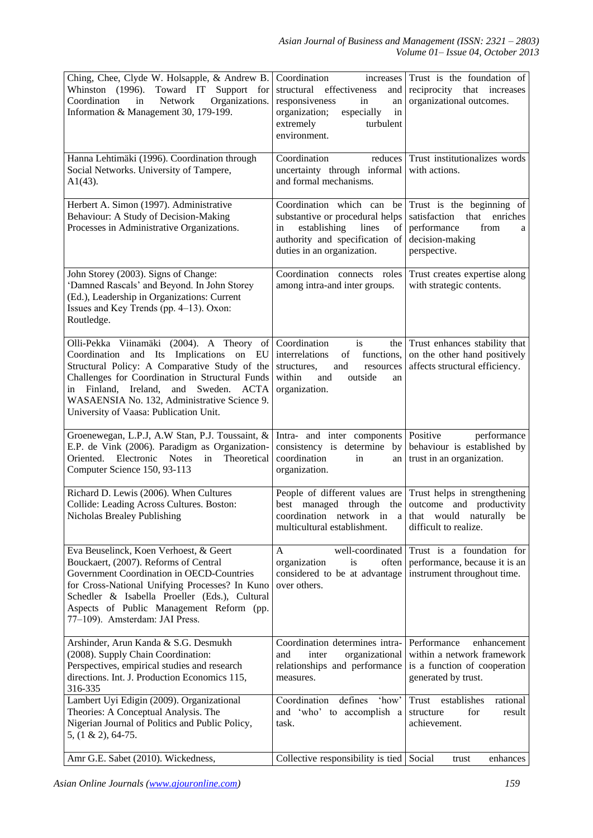| Ching, Chee, Clyde W. Holsapple, & Andrew B.<br>Whinston (1996). Toward IT Support for<br>Organizations.<br>Coordination<br>in<br>Network<br>Information & Management 30, 179-199.                                                                                                                                         | Coordination<br>increases<br>structural effectiveness<br>and  <br>responsiveness<br>in<br>an<br>organization;<br>especially<br>in<br>extremely<br>turbulent<br>environment.                           | Trust is the foundation of<br>reciprocity that increases<br>organizational outcomes.                                      |
|----------------------------------------------------------------------------------------------------------------------------------------------------------------------------------------------------------------------------------------------------------------------------------------------------------------------------|-------------------------------------------------------------------------------------------------------------------------------------------------------------------------------------------------------|---------------------------------------------------------------------------------------------------------------------------|
| Hanna Lehtimäki (1996). Coordination through<br>Social Networks. University of Tampere,<br>$A1(43)$ .                                                                                                                                                                                                                      | Coordination<br>reduces  <br>uncertainty through informal<br>and formal mechanisms.                                                                                                                   | Trust institutionalizes words<br>with actions.                                                                            |
| Herbert A. Simon (1997). Administrative<br>Behaviour: A Study of Decision-Making<br>Processes in Administrative Organizations.                                                                                                                                                                                             | Coordination which can be<br>substantive or procedural helps<br>establishing<br>lines<br>in<br>of<br>authority and specification of<br>duties in an organization.                                     | Trust is the beginning of<br>that enriches<br>satisfaction<br>performance<br>from<br>a<br>decision-making<br>perspective. |
| John Storey (2003). Signs of Change:<br>'Damned Rascals' and Beyond. In John Storey<br>(Ed.), Leadership in Organizations: Current<br>Issues and Key Trends (pp. 4-13). Oxon:<br>Routledge.                                                                                                                                | Coordination connects roles<br>among intra-and inter groups.                                                                                                                                          | Trust creates expertise along<br>with strategic contents.                                                                 |
| Olli-Pekka Viinamäki (2004). A Theory of<br>Coordination and Its Implications on EU<br>Structural Policy: A Comparative Study of the<br>Challenges for Coordination in Structural Funds<br>in Finland, Ireland, and Sweden. ACTA<br>WASAENSIA No. 132, Administrative Science 9.<br>University of Vaasa: Publication Unit. | is<br>Coordination<br>interrelations<br>of functions,<br>structures,<br>and<br>resources<br>within<br>and<br>outside<br>an<br>organization.                                                           | the Trust enhances stability that<br>on the other hand positively<br>affects structural efficiency.                       |
| Groenewegan, L.P.J, A.W Stan, P.J. Toussaint, &<br>E.P. de Vink (2006). Paradigm as Organization-<br>Oriented. Electronic<br><b>Notes</b><br>in<br>Theoretical<br>Computer Science 150, 93-113                                                                                                                             | Intra- and inter components Positive<br>consistency is determine<br>by <sub>l</sub><br>coordination<br>in<br>an I<br>organization.                                                                    | performance<br>behaviour is established by<br>trust in an organization.                                                   |
| Richard D. Lewis (2006). When Cultures<br>Collide: Leading Across Cultures. Boston:<br>Nicholas Brealey Publishing                                                                                                                                                                                                         | People of different values are Trust helps in strengthening<br>best managed through the outcome and productivity<br>coordination network in a that would naturally be<br>multicultural establishment. | difficult to realize.                                                                                                     |
| Eva Beuselinck, Koen Verhoest, & Geert<br>Bouckaert, (2007). Reforms of Central<br>Government Coordination in OECD-Countries<br>for Cross-National Unifying Processes? In Kuno<br>Schedler & Isabella Proeller (Eds.), Cultural<br>Aspects of Public Management Reform (pp.<br>77-109). Amsterdam: JAI Press.              | well-coordinated<br>A<br>often<br>organization<br>is<br>considered to be at advantage<br>over others.                                                                                                 | Trust is a foundation for<br>performance, because it is an<br>instrument throughout time.                                 |
| Arshinder, Arun Kanda & S.G. Desmukh<br>(2008). Supply Chain Coordination:<br>Perspectives, empirical studies and research<br>directions. Int. J. Production Economics 115,<br>316-335                                                                                                                                     | Coordination determines intra-<br>organizational<br>and<br>inter<br>relationships and performance<br>measures.                                                                                        | Performance<br>enhancement<br>within a network framework<br>is a function of cooperation<br>generated by trust.           |
| Lambert Uyi Edigin (2009). Organizational<br>Theories: A Conceptual Analysis. The<br>Nigerian Journal of Politics and Public Policy,<br>$5, (1 \& 2), 64-75.$                                                                                                                                                              | Coordination<br>defines<br>'how'<br>and 'who' to accomplish a<br>task.                                                                                                                                | establishes<br>rational<br>Trust<br>for<br>structure<br>result<br>achievement.                                            |
| Amr G.E. Sabet (2010). Wickedness,                                                                                                                                                                                                                                                                                         | Collective responsibility is tied Social                                                                                                                                                              | enhances<br>trust                                                                                                         |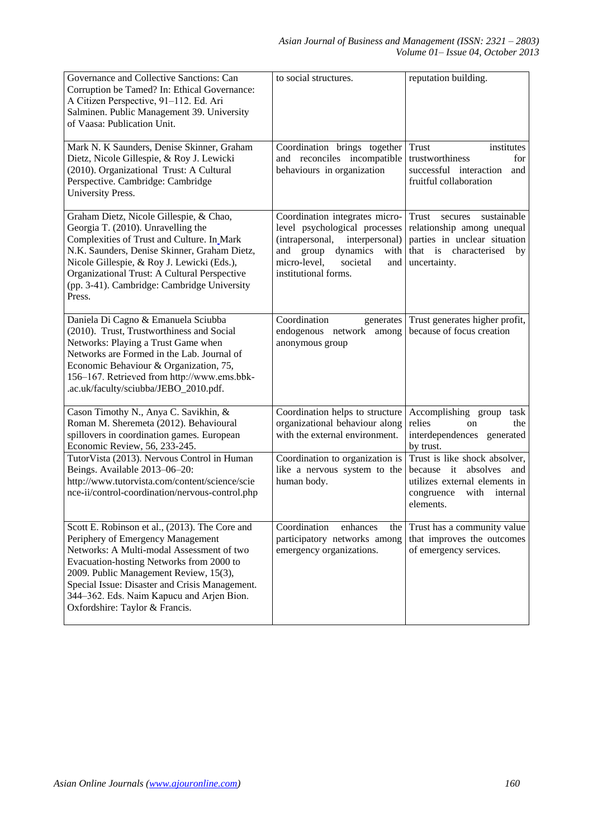| Governance and Collective Sanctions: Can<br>Corruption be Tamed? In: Ethical Governance:<br>A Citizen Perspective, 91-112. Ed. Ari<br>Salminen. Public Management 39. University<br>of Vaasa: Publication Unit.                                                                                                                                         | to social structures.                                                                                                                                                                            | reputation building.                                                                                                                              |
|---------------------------------------------------------------------------------------------------------------------------------------------------------------------------------------------------------------------------------------------------------------------------------------------------------------------------------------------------------|--------------------------------------------------------------------------------------------------------------------------------------------------------------------------------------------------|---------------------------------------------------------------------------------------------------------------------------------------------------|
| Mark N. K Saunders, Denise Skinner, Graham<br>Dietz, Nicole Gillespie, & Roy J. Lewicki<br>(2010). Organizational Trust: A Cultural<br>Perspective. Cambridge: Cambridge<br>University Press.                                                                                                                                                           | Coordination brings together<br>and reconciles incompatible<br>behaviours in organization                                                                                                        | Trust<br>institutes<br>trustworthiness<br>for<br>successful interaction<br>and<br>fruitful collaboration                                          |
| Graham Dietz, Nicole Gillespie, & Chao,<br>Georgia T. (2010). Unravelling the<br>Complexities of Trust and Culture. In Mark<br>N.K. Saunders, Denise Skinner, Graham Dietz,<br>Nicole Gillespie, & Roy J. Lewicki (Eds.),<br>Organizational Trust: A Cultural Perspective<br>(pp. 3-41). Cambridge: Cambridge University<br>Press.                      | Coordination integrates micro-<br>level psychological processes<br>(intrapersonal,<br>interpersonal)<br>dynamics<br>and group<br>with<br>micro-level,<br>societal<br>and<br>institutional forms. | sustainable<br>Trust<br>secures<br>relationship among unequal<br>parties in unclear situation<br>that is characterised<br>by<br>uncertainty.      |
| Daniela Di Cagno & Emanuela Sciubba<br>(2010). Trust, Trustworthiness and Social<br>Networks: Playing a Trust Game when<br>Networks are Formed in the Lab. Journal of<br>Economic Behaviour & Organization, 75,<br>156-167. Retrieved from http://www.ems.bbk-<br>.ac.uk/faculty/sciubba/JEBO_2010.pdf.                                                 | Coordination<br>generates<br>endogenous network among<br>anonymous group                                                                                                                         | Trust generates higher profit,<br>because of focus creation                                                                                       |
| Cason Timothy N., Anya C. Savikhin, &<br>Roman M. Sheremeta (2012). Behavioural<br>spillovers in coordination games. European<br>Economic Review, 56, 233-245.                                                                                                                                                                                          | Coordination helps to structure<br>organizational behaviour along<br>with the external environment.                                                                                              | Accomplishing group<br>task<br>relies<br>the<br>on<br>interdependences generated<br>by trust.                                                     |
| Tutor Vista (2013). Nervous Control in Human<br>Beings. Available 2013-06-20:<br>http://www.tutorvista.com/content/science/scie<br>nce-ii/control-coordination/nervous-control.php                                                                                                                                                                      | Coordination to organization is<br>like a nervous system to the<br>human body.                                                                                                                   | Trust is like shock absolver,<br>it<br>absolves<br>because<br>and<br>utilizes external elements in<br>with<br>internal<br>congruence<br>elements. |
| Scott E. Robinson et al., (2013). The Core and<br>Periphery of Emergency Management<br>Networks: A Multi-modal Assessment of two<br>Evacuation-hosting Networks from 2000 to<br>2009. Public Management Review, 15(3),<br>Special Issue: Disaster and Crisis Management.<br>344–362. Eds. Naim Kapucu and Arjen Bion.<br>Oxfordshire: Taylor & Francis. | Coordination<br>enhances<br>the  <br>participatory networks among<br>emergency organizations.                                                                                                    | Trust has a community value<br>that improves the outcomes<br>of emergency services.                                                               |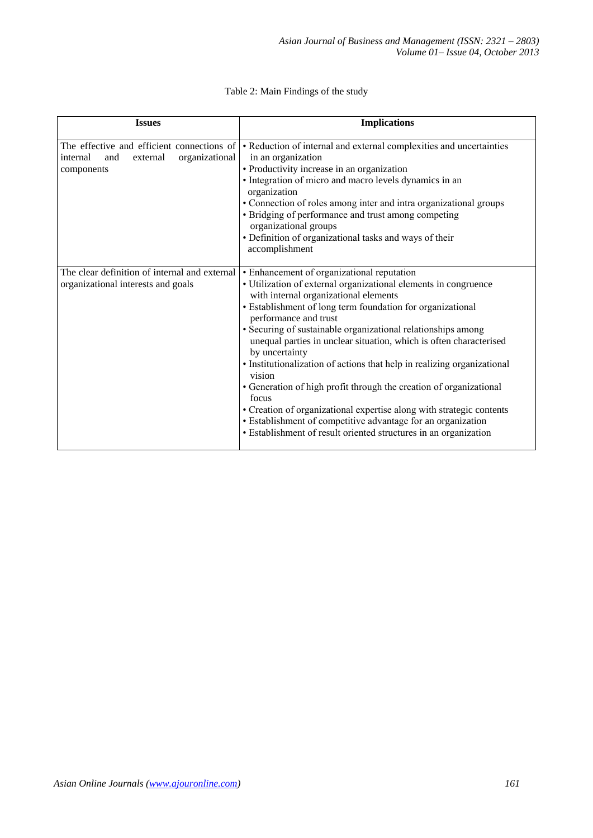| <b>Issues</b>                                                                                             | <b>Implications</b>                                                                                                                                                                                                                                                                                                                                                                                                                                                                                                                                                                                                                                                                                                                                                                   |
|-----------------------------------------------------------------------------------------------------------|---------------------------------------------------------------------------------------------------------------------------------------------------------------------------------------------------------------------------------------------------------------------------------------------------------------------------------------------------------------------------------------------------------------------------------------------------------------------------------------------------------------------------------------------------------------------------------------------------------------------------------------------------------------------------------------------------------------------------------------------------------------------------------------|
| The effective and efficient connections of<br>external<br>organizational<br>and<br>internal<br>components | • Reduction of internal and external complexities and uncertainties<br>in an organization<br>• Productivity increase in an organization<br>• Integration of micro and macro levels dynamics in an<br>organization<br>• Connection of roles among inter and intra organizational groups<br>• Bridging of performance and trust among competing<br>organizational groups<br>• Definition of organizational tasks and ways of their<br>accomplishment                                                                                                                                                                                                                                                                                                                                    |
| The clear definition of internal and external<br>organizational interests and goals                       | • Enhancement of organizational reputation<br>• Utilization of external organizational elements in congruence<br>with internal organizational elements<br>• Establishment of long term foundation for organizational<br>performance and trust<br>• Securing of sustainable organizational relationships among<br>unequal parties in unclear situation, which is often characterised<br>by uncertainty<br>• Institutionalization of actions that help in realizing organizational<br>vision<br>• Generation of high profit through the creation of organizational<br>focus<br>• Creation of organizational expertise along with strategic contents<br>• Establishment of competitive advantage for an organization<br>• Establishment of result oriented structures in an organization |

# Table 2: Main Findings of the study